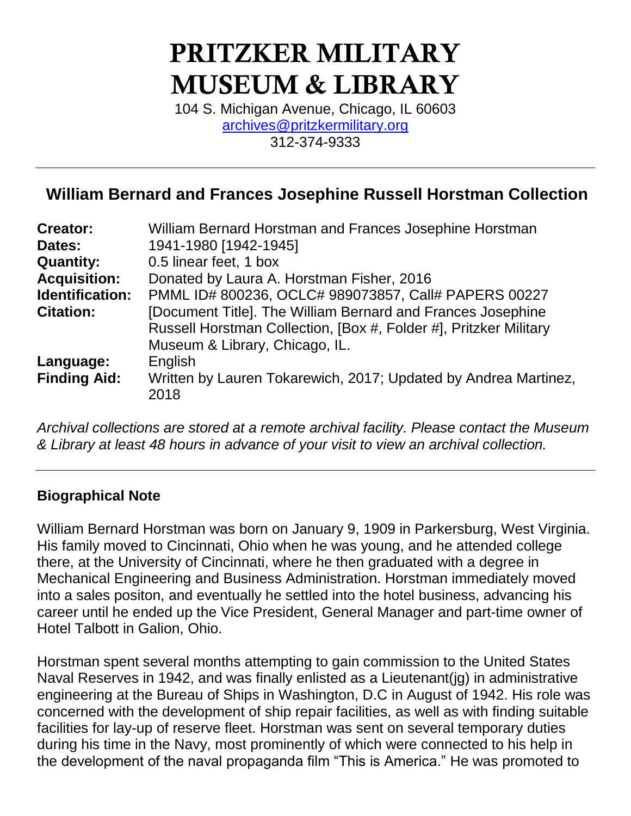# **PRITZKER MILITARY MUSEUM & LIBRARY**

104 S. Michigan Avenue, Chicago, IL 60603 [archives@pritzkermilitary.org](mailto:archives@pritzkermilitary.org) 312-374-9333

## **William Bernard and Frances Josephine Russell Horstman Collection**

| <b>Creator:</b>        | William Bernard Horstman and Frances Josephine Horstman           |
|------------------------|-------------------------------------------------------------------|
| Dates:                 | 1941-1980 [1942-1945]                                             |
| <b>Quantity:</b>       | 0.5 linear feet, 1 box                                            |
| <b>Acquisition:</b>    | Donated by Laura A. Horstman Fisher, 2016                         |
| <b>Identification:</b> | PMML ID# 800236, OCLC# 989073857, Call# PAPERS 00227              |
| <b>Citation:</b>       | [Document Title]. The William Bernard and Frances Josephine       |
|                        | Russell Horstman Collection, [Box #, Folder #], Pritzker Military |
|                        | Museum & Library, Chicago, IL.                                    |
| Language:              | English                                                           |
| <b>Finding Aid:</b>    | Written by Lauren Tokarewich, 2017; Updated by Andrea Martinez,   |
|                        | 2018                                                              |
|                        |                                                                   |

*Archival collections are stored at a remote archival facility. Please contact the Museum & Library at least 48 hours in advance of your visit to view an archival collection.*

#### **Biographical Note**

William Bernard Horstman was born on January 9, 1909 in Parkersburg, West Virginia. His family moved to Cincinnati, Ohio when he was young, and he attended college there, at the University of Cincinnati, where he then graduated with a degree in Mechanical Engineering and Business Administration. Horstman immediately moved into a sales positon, and eventually he settled into the hotel business, advancing his career until he ended up the Vice President, General Manager and part-time owner of Hotel Talbott in Galion, Ohio.

Horstman spent several months attempting to gain commission to the United States Naval Reserves in 1942, and was finally enlisted as a Lieutenant(jg) in administrative engineering at the Bureau of Ships in Washington, D.C in August of 1942. His role was concerned with the development of ship repair facilities, as well as with finding suitable facilities for lay-up of reserve fleet. Horstman was sent on several temporary duties during his time in the Navy, most prominently of which were connected to his help in the development of the naval propaganda film "This is America." He was promoted to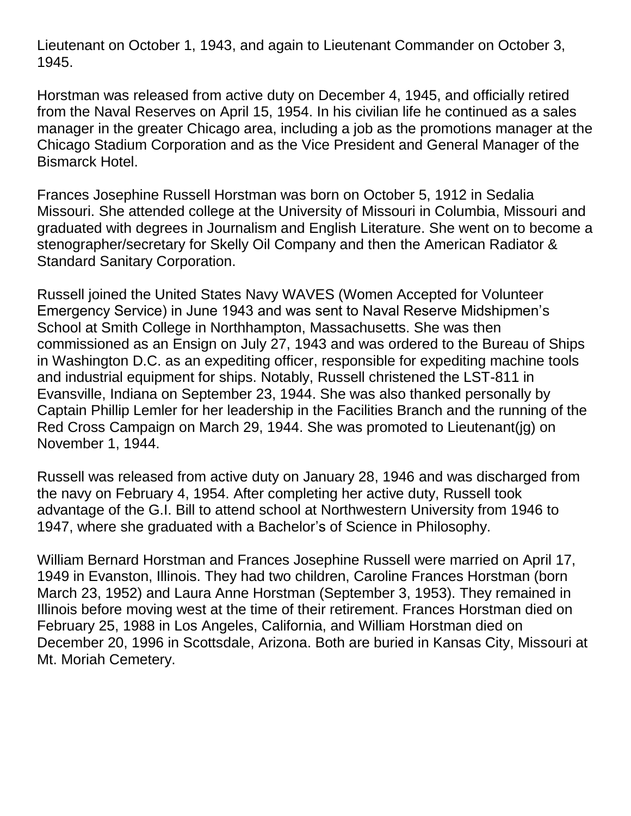Lieutenant on October 1, 1943, and again to Lieutenant Commander on October 3, 1945.

Horstman was released from active duty on December 4, 1945, and officially retired from the Naval Reserves on April 15, 1954. In his civilian life he continued as a sales manager in the greater Chicago area, including a job as the promotions manager at the Chicago Stadium Corporation and as the Vice President and General Manager of the Bismarck Hotel.

Frances Josephine Russell Horstman was born on October 5, 1912 in Sedalia Missouri. She attended college at the University of Missouri in Columbia, Missouri and graduated with degrees in Journalism and English Literature. She went on to become a stenographer/secretary for Skelly Oil Company and then the American Radiator & Standard Sanitary Corporation.

Russell joined the United States Navy WAVES (Women Accepted for Volunteer Emergency Service) in June 1943 and was sent to Naval Reserve Midshipmen's School at Smith College in Northhampton, Massachusetts. She was then commissioned as an Ensign on July 27, 1943 and was ordered to the Bureau of Ships in Washington D.C. as an expediting officer, responsible for expediting machine tools and industrial equipment for ships. Notably, Russell christened the LST-811 in Evansville, Indiana on September 23, 1944. She was also thanked personally by Captain Phillip Lemler for her leadership in the Facilities Branch and the running of the Red Cross Campaign on March 29, 1944. She was promoted to Lieutenant(jg) on November 1, 1944.

Russell was released from active duty on January 28, 1946 and was discharged from the navy on February 4, 1954. After completing her active duty, Russell took advantage of the G.I. Bill to attend school at Northwestern University from 1946 to 1947, where she graduated with a Bachelor's of Science in Philosophy.

William Bernard Horstman and Frances Josephine Russell were married on April 17, 1949 in Evanston, Illinois. They had two children, Caroline Frances Horstman (born March 23, 1952) and Laura Anne Horstman (September 3, 1953). They remained in Illinois before moving west at the time of their retirement. Frances Horstman died on February 25, 1988 in Los Angeles, California, and William Horstman died on December 20, 1996 in Scottsdale, Arizona. Both are buried in Kansas City, Missouri at Mt. Moriah Cemetery.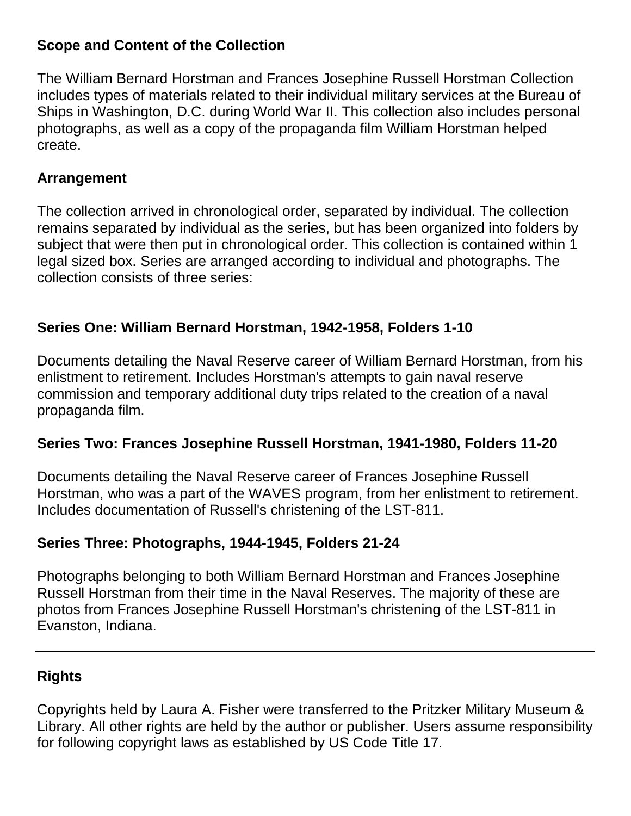## **Scope and Content of the Collection**

The William Bernard Horstman and Frances Josephine Russell Horstman Collection includes types of materials related to their individual military services at the Bureau of Ships in Washington, D.C. during World War II. This collection also includes personal photographs, as well as a copy of the propaganda film William Horstman helped create.

#### **Arrangement**

The collection arrived in chronological order, separated by individual. The collection remains separated by individual as the series, but has been organized into folders by subject that were then put in chronological order. This collection is contained within 1 legal sized box. Series are arranged according to individual and photographs. The collection consists of three series:

## **Series One: William Bernard Horstman, 1942-1958, Folders 1-10**

Documents detailing the Naval Reserve career of William Bernard Horstman, from his enlistment to retirement. Includes Horstman's attempts to gain naval reserve commission and temporary additional duty trips related to the creation of a naval propaganda film.

## **Series Two: Frances Josephine Russell Horstman, 1941-1980, Folders 11-20**

Documents detailing the Naval Reserve career of Frances Josephine Russell Horstman, who was a part of the WAVES program, from her enlistment to retirement. Includes documentation of Russell's christening of the LST-811.

## **Series Three: Photographs, 1944-1945, Folders 21-24**

Photographs belonging to both William Bernard Horstman and Frances Josephine Russell Horstman from their time in the Naval Reserves. The majority of these are photos from Frances Josephine Russell Horstman's christening of the LST-811 in Evanston, Indiana.

## **Rights**

Copyrights held by Laura A. Fisher were transferred to the Pritzker Military Museum & Library. All other rights are held by the author or publisher. Users assume responsibility for following copyright laws as established by US Code Title 17.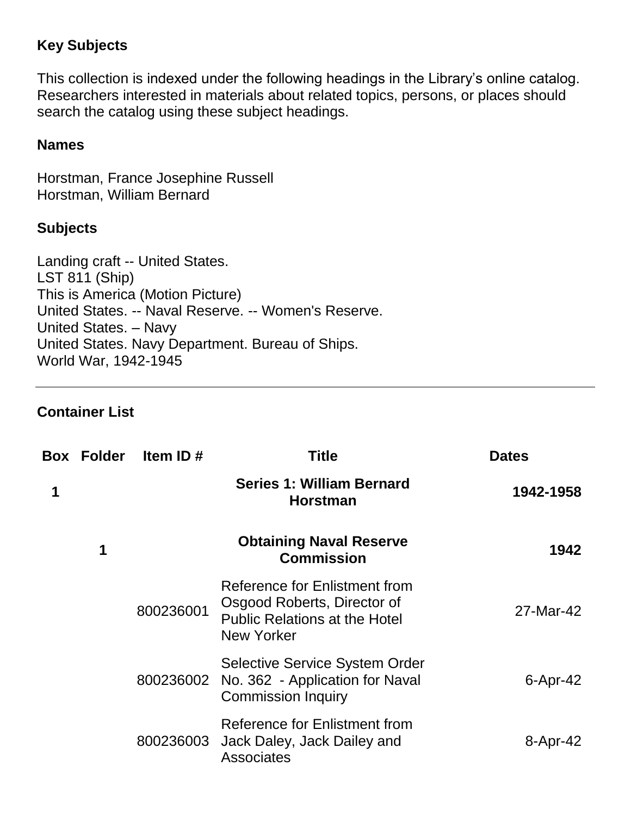## **Key Subjects**

This collection is indexed under the following headings in the Library's online catalog. Researchers interested in materials about related topics, persons, or places should search the catalog using these subject headings.

#### **Names**

Horstman, France Josephine Russell Horstman, William Bernard

#### **Subjects**

Landing craft -- United States. LST 811 (Ship) This is America (Motion Picture) United States. -- Naval Reserve. -- Women's Reserve. United States. – Navy United States. Navy Department. Bureau of Ships. World War, 1942-1945

#### **Container List**

| <b>Dates</b>    | Title                                                                                                              | Item ID#  | <b>Box Folder</b> |   |
|-----------------|--------------------------------------------------------------------------------------------------------------------|-----------|-------------------|---|
| 1942-1958       | <b>Series 1: William Bernard</b><br><b>Horstman</b>                                                                |           |                   | 1 |
| 1942            | <b>Obtaining Naval Reserve</b><br><b>Commission</b>                                                                |           | 1                 |   |
| 27-Mar-42       | Reference for Enlistment from<br>Osgood Roberts, Director of<br><b>Public Relations at the Hotel</b><br>New Yorker | 800236001 |                   |   |
| $6 -$ Apr $-42$ | <b>Selective Service System Order</b><br>No. 362 - Application for Naval<br><b>Commission Inquiry</b>              | 800236002 |                   |   |
| 8-Apr-42        | Reference for Enlistment from<br>Jack Daley, Jack Dailey and<br><b>Associates</b>                                  | 800236003 |                   |   |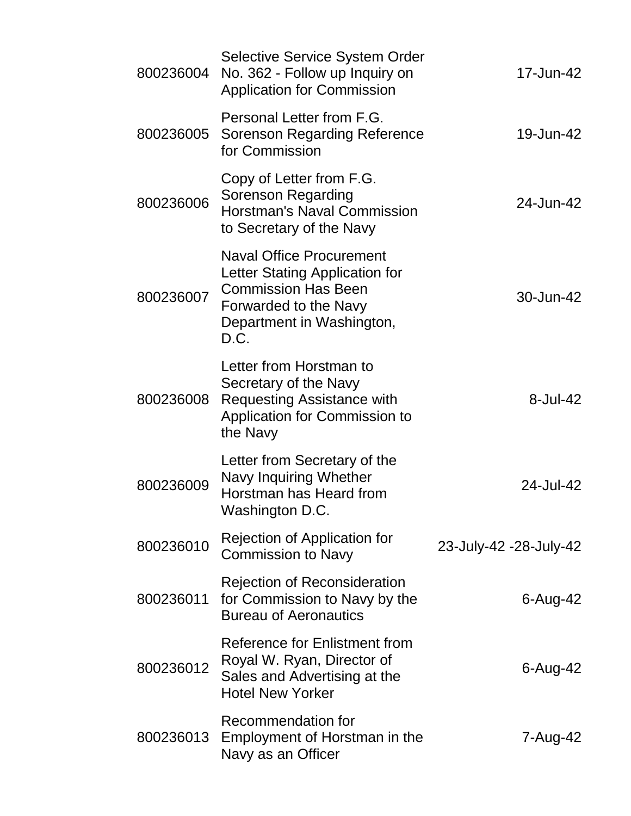| 800236004 | <b>Selective Service System Order</b><br>No. 362 - Follow up Inquiry on<br><b>Application for Commission</b>                                                  | 17-Jun-42              |
|-----------|---------------------------------------------------------------------------------------------------------------------------------------------------------------|------------------------|
| 800236005 | Personal Letter from F.G.<br><b>Sorenson Regarding Reference</b><br>for Commission                                                                            | 19-Jun-42              |
| 800236006 | Copy of Letter from F.G.<br>Sorenson Regarding<br><b>Horstman's Naval Commission</b><br>to Secretary of the Navy                                              | 24-Jun-42              |
| 800236007 | <b>Naval Office Procurement</b><br>Letter Stating Application for<br><b>Commission Has Been</b><br>Forwarded to the Navy<br>Department in Washington,<br>D.C. | 30-Jun-42              |
| 800236008 | Letter from Horstman to<br>Secretary of the Navy<br><b>Requesting Assistance with</b><br>Application for Commission to<br>the Navy                            | 8-Jul-42               |
| 800236009 | Letter from Secretary of the<br>Navy Inquiring Whether<br>Horstman has Heard from<br>Washington D.C.                                                          | 24-Jul-42              |
| 800236010 | Rejection of Application for<br><b>Commission to Navy</b>                                                                                                     | 23-July-42 -28-July-42 |
| 800236011 | <b>Rejection of Reconsideration</b><br>for Commission to Navy by the<br><b>Bureau of Aeronautics</b>                                                          | 6-Aug-42               |
| 800236012 | Reference for Enlistment from<br>Royal W. Ryan, Director of<br>Sales and Advertising at the<br><b>Hotel New Yorker</b>                                        | $6 - Aug-42$           |
| 800236013 | Recommendation for<br>Employment of Horstman in the<br>Navy as an Officer                                                                                     | 7-Aug-42               |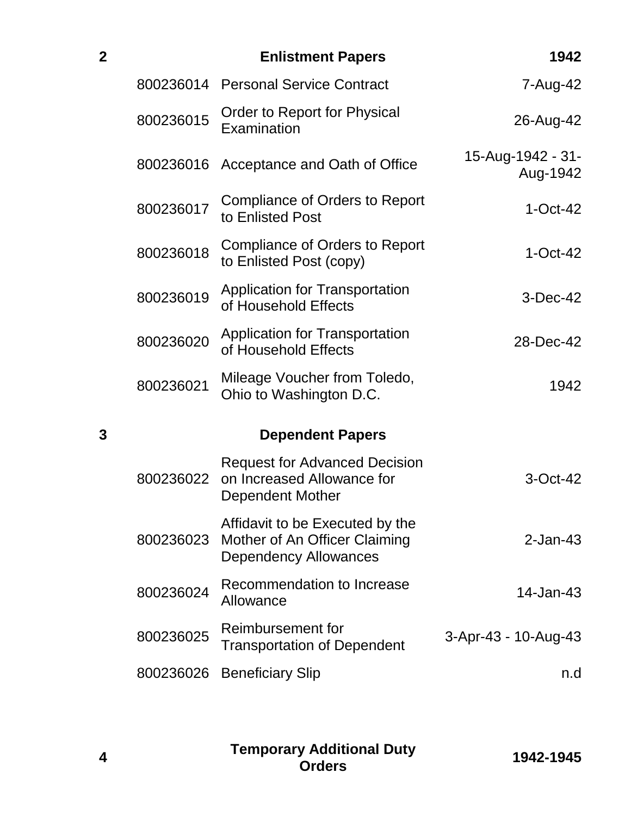| $\overline{\mathbf{2}}$ |           | <b>Enlistment Papers</b>                                                                         | 1942                          |
|-------------------------|-----------|--------------------------------------------------------------------------------------------------|-------------------------------|
|                         |           | 800236014 Personal Service Contract                                                              | 7-Aug-42                      |
|                         | 800236015 | Order to Report for Physical<br>Examination                                                      | 26-Aug-42                     |
|                         | 800236016 | Acceptance and Oath of Office                                                                    | 15-Aug-1942 - 31-<br>Aug-1942 |
|                         | 800236017 | <b>Compliance of Orders to Report</b><br>to Enlisted Post                                        | $1-Oct-42$                    |
|                         | 800236018 | Compliance of Orders to Report<br>to Enlisted Post (copy)                                        | $1-Oct-42$                    |
|                         | 800236019 | <b>Application for Transportation</b><br>of Household Effects                                    | 3-Dec-42                      |
|                         | 800236020 | <b>Application for Transportation</b><br>of Household Effects                                    | 28-Dec-42                     |
|                         | 800236021 | Mileage Voucher from Toledo,<br>Ohio to Washington D.C.                                          | 1942                          |
| 3                       |           | <b>Dependent Papers</b>                                                                          |                               |
|                         | 800236022 | <b>Request for Advanced Decision</b><br>on Increased Allowance for<br>Dependent Mother           | 3-Oct-42                      |
|                         | 800236023 | Affidavit to be Executed by the<br>Mother of An Officer Claiming<br><b>Dependency Allowances</b> | $2$ -Jan-43                   |
|                         | 800236024 | Recommendation to Increase<br>Allowance                                                          | 14-Jan-43                     |
|                         | 800236025 | Reimbursement for<br><b>Transportation of Dependent</b>                                          | 3-Apr-43 - 10-Aug-43          |
|                         | 800236026 | <b>Beneficiary Slip</b>                                                                          | n.d                           |

**Temporary Additional Duty Orders 1942-1945**

**4**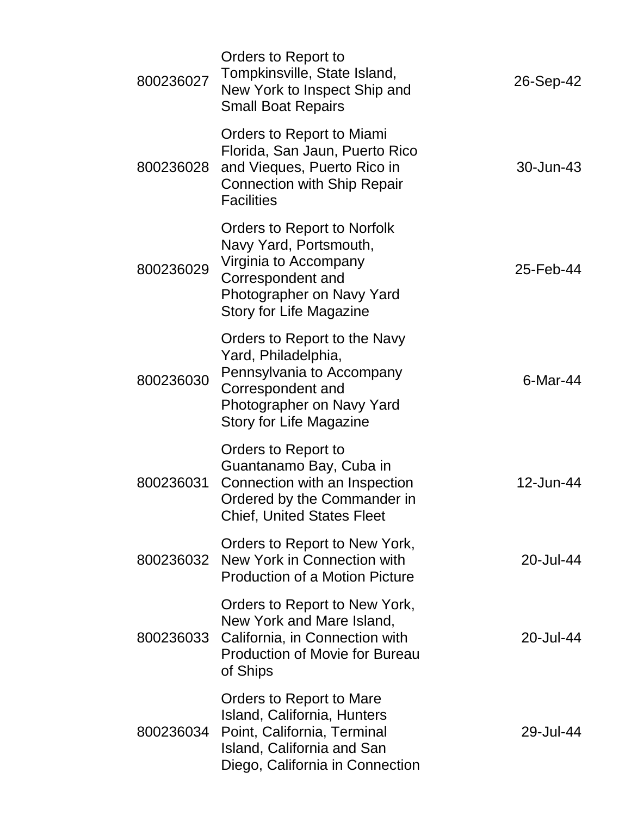| 800236027 | Orders to Report to<br>Tompkinsville, State Island,<br>New York to Inspect Ship and<br><b>Small Boat Repairs</b>                                                     | 26-Sep-42   |
|-----------|----------------------------------------------------------------------------------------------------------------------------------------------------------------------|-------------|
| 800236028 | Orders to Report to Miami<br>Florida, San Jaun, Puerto Rico<br>and Vieques, Puerto Rico in<br><b>Connection with Ship Repair</b><br><b>Facilities</b>                | 30-Jun-43   |
| 800236029 | Orders to Report to Norfolk<br>Navy Yard, Portsmouth,<br>Virginia to Accompany<br>Correspondent and<br>Photographer on Navy Yard<br><b>Story for Life Magazine</b>   | 25-Feb-44   |
| 800236030 | Orders to Report to the Navy<br>Yard, Philadelphia,<br>Pennsylvania to Accompany<br>Correspondent and<br>Photographer on Navy Yard<br><b>Story for Life Magazine</b> | $6$ -Mar-44 |
| 800236031 | Orders to Report to<br>Guantanamo Bay, Cuba in<br>Connection with an Inspection<br>Ordered by the Commander in<br><b>Chief, United States Fleet</b>                  | 12-Jun-44   |
| 800236032 | Orders to Report to New York,<br>New York in Connection with<br><b>Production of a Motion Picture</b>                                                                | 20-Jul-44   |
| 800236033 | Orders to Report to New York,<br>New York and Mare Island,<br>California, in Connection with<br><b>Production of Movie for Bureau</b><br>of Ships                    | 20-Jul-44   |
| 800236034 | Orders to Report to Mare<br>Island, California, Hunters<br>Point, California, Terminal<br>Island, California and San<br>Diego, California in Connection              | 29-Jul-44   |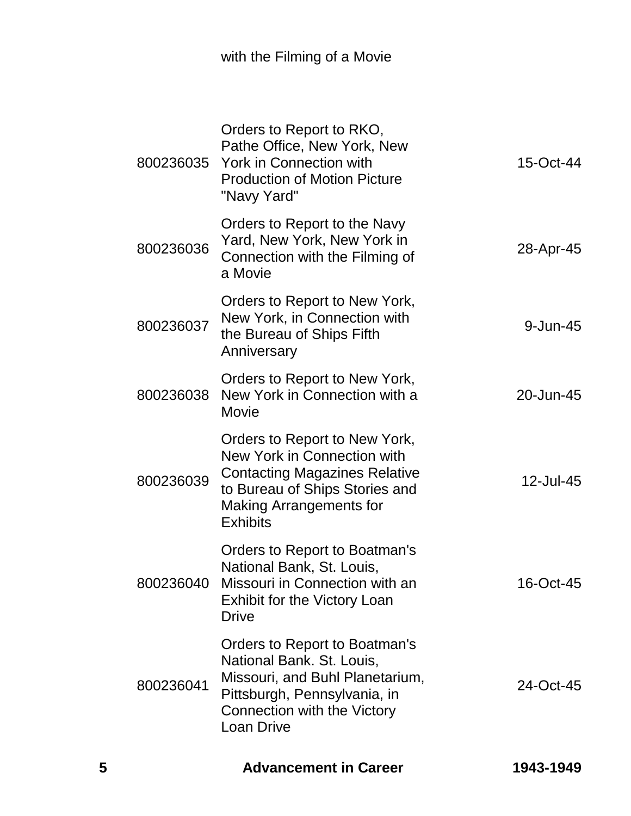| 5 |           | <b>Advancement in Career</b>                                                                                                                                                                | 1943-1949 |
|---|-----------|---------------------------------------------------------------------------------------------------------------------------------------------------------------------------------------------|-----------|
|   | 800236041 | Orders to Report to Boatman's<br>National Bank. St. Louis,<br>Missouri, and Buhl Planetarium,<br>Pittsburgh, Pennsylvania, in<br>Connection with the Victory<br><b>Loan Drive</b>           | 24-Oct-45 |
|   | 800236040 | Orders to Report to Boatman's<br>National Bank, St. Louis,<br>Missouri in Connection with an<br><b>Exhibit for the Victory Loan</b><br><b>Drive</b>                                         | 16-Oct-45 |
|   | 800236039 | Orders to Report to New York,<br>New York in Connection with<br><b>Contacting Magazines Relative</b><br>to Bureau of Ships Stories and<br><b>Making Arrangements for</b><br><b>Exhibits</b> | 12-Jul-45 |
|   | 800236038 | Orders to Report to New York,<br>New York in Connection with a<br>Movie                                                                                                                     | 20-Jun-45 |
|   | 800236037 | Orders to Report to New York,<br>New York, in Connection with<br>the Bureau of Ships Fifth<br>Anniversary                                                                                   | 9-Jun-45  |
|   | 800236036 | Orders to Report to the Navy<br>Yard, New York, New York in<br>Connection with the Filming of<br>a Movie                                                                                    | 28-Apr-45 |
|   | 800236035 | Orders to Report to RKO,<br>Pathe Office, New York, New<br><b>York in Connection with</b><br><b>Production of Motion Picture</b><br>"Navy Yard"                                             | 15-Oct-44 |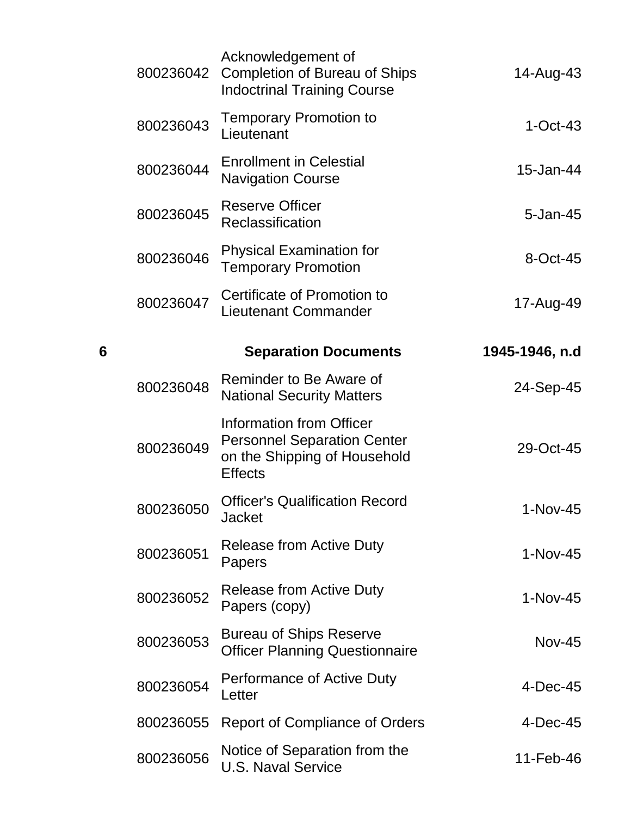|   | 800236042 | Acknowledgement of<br><b>Completion of Bureau of Ships</b><br><b>Indoctrinal Training Course</b>                        | 14-Aug-43      |
|---|-----------|-------------------------------------------------------------------------------------------------------------------------|----------------|
|   | 800236043 | <b>Temporary Promotion to</b><br>Lieutenant                                                                             | $1-Oct-43$     |
|   | 800236044 | <b>Enrollment in Celestial</b><br><b>Navigation Course</b>                                                              | 15-Jan-44      |
|   | 800236045 | <b>Reserve Officer</b><br>Reclassification                                                                              | 5-Jan-45       |
|   | 800236046 | <b>Physical Examination for</b><br><b>Temporary Promotion</b>                                                           | 8-Oct-45       |
|   | 800236047 | Certificate of Promotion to<br><b>Lieutenant Commander</b>                                                              | 17-Aug-49      |
| 6 |           | <b>Separation Documents</b>                                                                                             | 1945-1946, n.d |
|   | 800236048 | Reminder to Be Aware of<br><b>National Security Matters</b>                                                             | 24-Sep-45      |
|   | 800236049 | <b>Information from Officer</b><br><b>Personnel Separation Center</b><br>on the Shipping of Household<br><b>Effects</b> | 29-Oct-45      |
|   | 800236050 | <b>Officer's Qualification Record</b><br><b>Jacket</b>                                                                  | 1-Nov-45       |
|   | 800236051 | Release from Active Duty<br>Papers                                                                                      | $1-Nov-45$     |
|   | 800236052 | Release from Active Duty<br>Papers (copy)                                                                               | $1-Nov-45$     |
|   | 800236053 | <b>Bureau of Ships Reserve</b><br><b>Officer Planning Questionnaire</b>                                                 | <b>Nov-45</b>  |
|   | 800236054 | <b>Performance of Active Duty</b><br>Letter                                                                             | $4$ -Dec-45    |
|   | 800236055 | <b>Report of Compliance of Orders</b>                                                                                   | 4-Dec-45       |
|   | 800236056 | Notice of Separation from the<br><b>U.S. Naval Service</b>                                                              | 11-Feb-46      |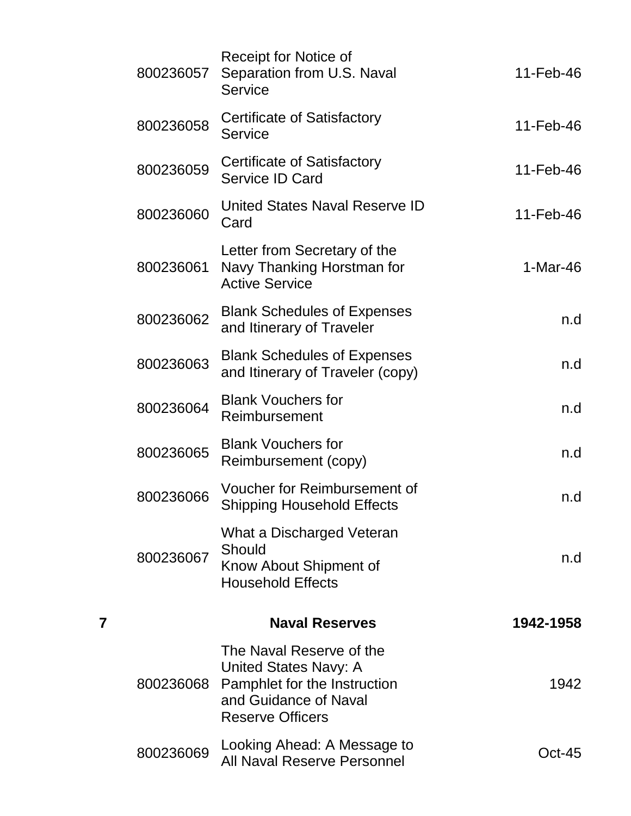|   | 800236057 | Receipt for Notice of<br>Separation from U.S. Naval<br><b>Service</b>                                                                        | 11-Feb-46     |
|---|-----------|----------------------------------------------------------------------------------------------------------------------------------------------|---------------|
|   | 800236058 | Certificate of Satisfactory<br>Service                                                                                                       | $11$ -Feb-46  |
|   | 800236059 | Certificate of Satisfactory<br>Service ID Card                                                                                               | 11-Feb-46     |
|   | 800236060 | United States Naval Reserve ID<br>Card                                                                                                       | 11-Feb-46     |
|   | 800236061 | Letter from Secretary of the<br>Navy Thanking Horstman for<br><b>Active Service</b>                                                          | $1-Mar-46$    |
|   | 800236062 | <b>Blank Schedules of Expenses</b><br>and Itinerary of Traveler                                                                              | n.d           |
|   | 800236063 | <b>Blank Schedules of Expenses</b><br>and Itinerary of Traveler (copy)                                                                       | n.d           |
|   | 800236064 | <b>Blank Vouchers for</b><br>Reimbursement                                                                                                   | n.d           |
|   | 800236065 | <b>Blank Vouchers for</b><br>Reimbursement (copy)                                                                                            | n.d           |
|   | 800236066 | Voucher for Reimbursement of<br><b>Shipping Household Effects</b>                                                                            | n.d           |
|   | 800236067 | What a Discharged Veteran<br>Should<br>Know About Shipment of<br><b>Household Effects</b>                                                    | n.d           |
| 7 |           | <b>Naval Reserves</b>                                                                                                                        | 1942-1958     |
|   | 800236068 | The Naval Reserve of the<br><b>United States Navy: A</b><br>Pamphlet for the Instruction<br>and Guidance of Naval<br><b>Reserve Officers</b> | 1942          |
|   | 800236069 | Looking Ahead: A Message to<br><b>All Naval Reserve Personnel</b>                                                                            | <b>Oct-45</b> |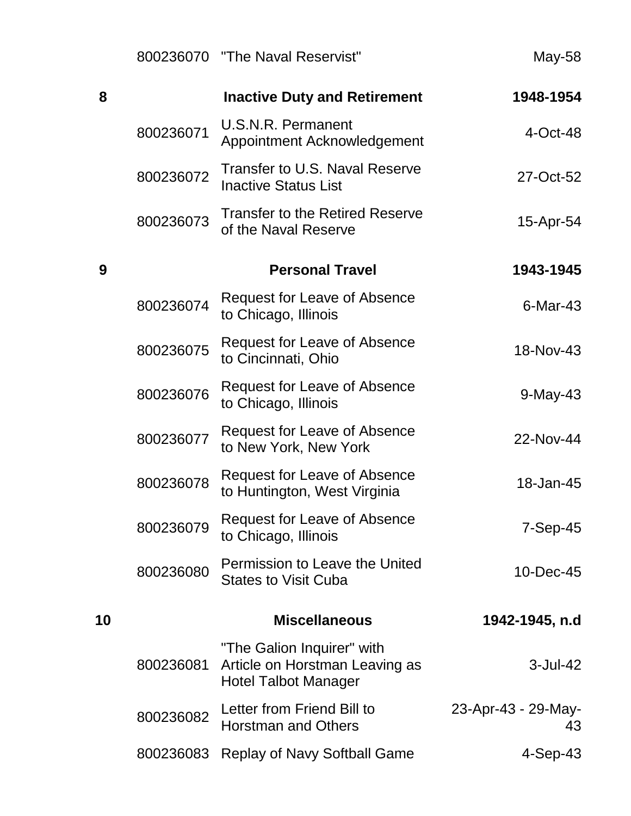|    |           | 800236070 "The Naval Reservist"                                                             | May-58                    |
|----|-----------|---------------------------------------------------------------------------------------------|---------------------------|
| 8  |           | <b>Inactive Duty and Retirement</b>                                                         | 1948-1954                 |
|    | 800236071 | <b>U.S.N.R. Permanent</b><br>Appointment Acknowledgement                                    | $4$ -Oct-48               |
|    | 800236072 | Transfer to U.S. Naval Reserve<br><b>Inactive Status List</b>                               | 27-Oct-52                 |
|    | 800236073 | <b>Transfer to the Retired Reserve</b><br>of the Naval Reserve                              | 15-Apr-54                 |
| 9  |           | <b>Personal Travel</b>                                                                      | 1943-1945                 |
|    | 800236074 | <b>Request for Leave of Absence</b><br>to Chicago, Illinois                                 | $6$ -Mar-43               |
|    | 800236075 | <b>Request for Leave of Absence</b><br>to Cincinnati, Ohio                                  | 18-Nov-43                 |
|    | 800236076 | <b>Request for Leave of Absence</b><br>to Chicago, Illinois                                 | $9$ -May-43               |
|    | 800236077 | <b>Request for Leave of Absence</b><br>to New York, New York                                | 22-Nov-44                 |
|    | 800236078 | <b>Request for Leave of Absence</b><br>to Huntington, West Virginia                         | 18-Jan-45                 |
|    | 800236079 | <b>Request for Leave of Absence</b><br>to Chicago, Illinois                                 | $7-Sep-45$                |
|    | 800236080 | <b>Permission to Leave the United</b><br><b>States to Visit Cuba</b>                        | 10-Dec-45                 |
| 10 |           | <b>Miscellaneous</b>                                                                        | 1942-1945, n.d            |
|    | 800236081 | "The Galion Inquirer" with<br>Article on Horstman Leaving as<br><b>Hotel Talbot Manager</b> | 3-Jul-42                  |
|    | 800236082 | Letter from Friend Bill to<br><b>Horstman and Others</b>                                    | 23-Apr-43 - 29-May-<br>43 |
|    | 800236083 | <b>Replay of Navy Softball Game</b>                                                         | $4-Sep-43$                |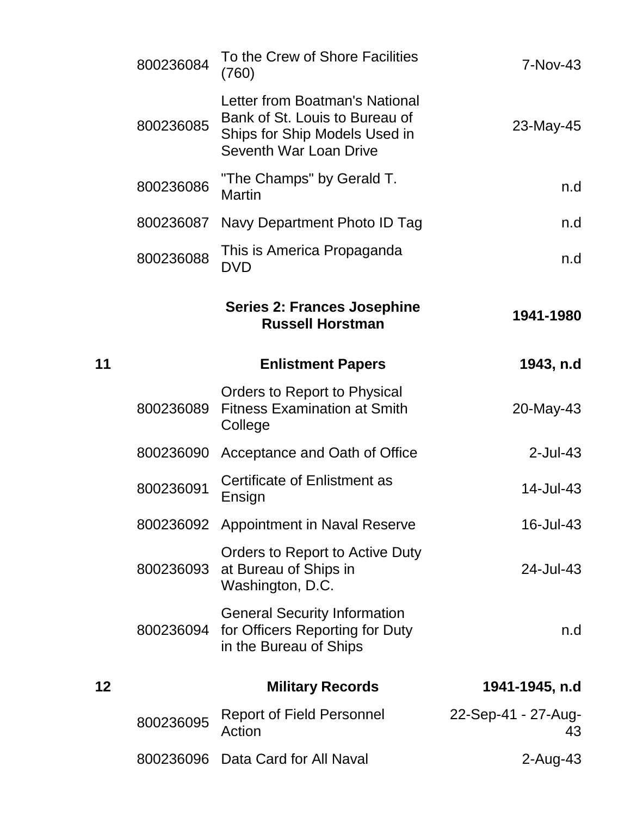|    | 800236084 | To the Crew of Shore Facilities<br>(760)                                                                                    | 7-Nov-43                  |
|----|-----------|-----------------------------------------------------------------------------------------------------------------------------|---------------------------|
|    | 800236085 | Letter from Boatman's National<br>Bank of St. Louis to Bureau of<br>Ships for Ship Models Used in<br>Seventh War Loan Drive | 23-May-45                 |
|    | 800236086 | "The Champs" by Gerald T.<br><b>Martin</b>                                                                                  | n.d                       |
|    | 800236087 | Navy Department Photo ID Tag                                                                                                | n.d                       |
|    | 800236088 | This is America Propaganda<br><b>DVD</b>                                                                                    | n.d                       |
|    |           | <b>Series 2: Frances Josephine</b><br><b>Russell Horstman</b>                                                               | 1941-1980                 |
| 11 |           | <b>Enlistment Papers</b>                                                                                                    | 1943, n.d                 |
|    | 800236089 | Orders to Report to Physical<br><b>Fitness Examination at Smith</b><br>College                                              | 20-May-43                 |
|    | 800236090 | Acceptance and Oath of Office                                                                                               | $2$ -Jul-43               |
|    | 800236091 | Certificate of Enlistment as<br>Ensign                                                                                      | 14-Jul-43                 |
|    |           | 800236092 Appointment in Naval Reserve                                                                                      | 16-Jul-43                 |
|    | 800236093 | Orders to Report to Active Duty<br>at Bureau of Ships in<br>Washington, D.C.                                                | 24-Jul-43                 |
|    |           | <b>General Security Information</b><br>800236094 for Officers Reporting for Duty<br>in the Bureau of Ships                  | n.d                       |
| 12 |           | <b>Military Records</b>                                                                                                     | 1941-1945, n.d            |
|    | 800236095 | <b>Report of Field Personnel</b><br>Action                                                                                  | 22-Sep-41 - 27-Aug-<br>43 |
|    | 800236096 | Data Card for All Naval                                                                                                     | $2$ -Aug-43               |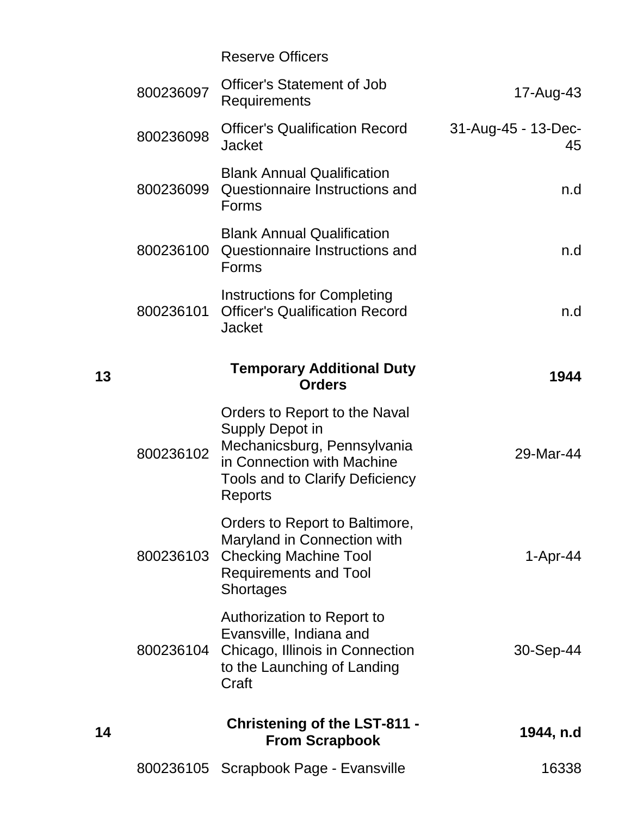|                           | <b>Reserve Officers</b>                                                                                                                                            |           |    |
|---------------------------|--------------------------------------------------------------------------------------------------------------------------------------------------------------------|-----------|----|
| 17-Aug-43                 | <b>Officer's Statement of Job</b><br>Requirements                                                                                                                  | 800236097 |    |
| 31-Aug-45 - 13-Dec-<br>45 | <b>Officer's Qualification Record</b><br><b>Jacket</b>                                                                                                             | 800236098 |    |
| n.d                       | <b>Blank Annual Qualification</b><br>Questionnaire Instructions and<br>Forms                                                                                       | 800236099 |    |
| n.d                       | <b>Blank Annual Qualification</b><br>Questionnaire Instructions and<br>Forms                                                                                       | 800236100 |    |
| n.d                       | Instructions for Completing<br><b>Officer's Qualification Record</b><br><b>Jacket</b>                                                                              | 800236101 |    |
| 1944                      | <b>Temporary Additional Duty</b><br><b>Orders</b>                                                                                                                  |           | 13 |
| 29-Mar-44                 | Orders to Report to the Naval<br>Supply Depot in<br>Mechanicsburg, Pennsylvania<br>in Connection with Machine<br><b>Tools and to Clarify Deficiency</b><br>Reports | 800236102 |    |
| 1-Apr-44                  | Orders to Report to Baltimore,<br>Maryland in Connection with<br>800236103 Checking Machine Tool<br><b>Requirements and Tool</b><br><b>Shortages</b>               |           |    |
| 30-Sep-44                 | Authorization to Report to<br>Evansville, Indiana and<br>Chicago, Illinois in Connection<br>to the Launching of Landing<br>Craft                                   | 800236104 |    |
| 1944, n.d                 | <b>Christening of the LST-811 -</b><br><b>From Scrapbook</b>                                                                                                       |           | 14 |
| 16338                     | 800236105 Scrapbook Page - Evansville                                                                                                                              |           |    |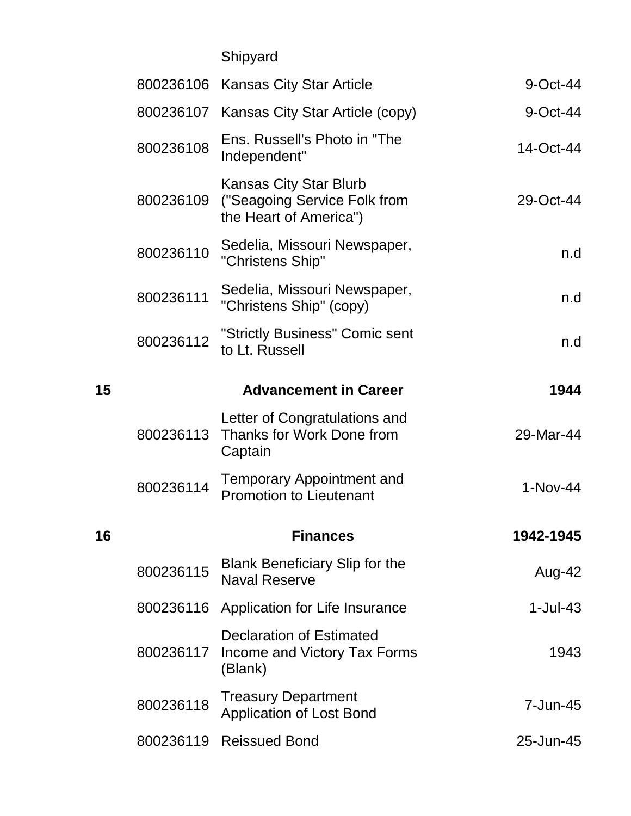Shipyard

| 9-Oct-44   | 800236106 Kansas City Star Article                                                      |           |    |
|------------|-----------------------------------------------------------------------------------------|-----------|----|
| 9-Oct-44   | 800236107 Kansas City Star Article (copy)                                               |           |    |
| 14-Oct-44  | Ens. Russell's Photo in "The<br>Independent"                                            | 800236108 |    |
| 29-Oct-44  | <b>Kansas City Star Blurb</b><br>("Seagoing Service Folk from<br>the Heart of America") | 800236109 |    |
| n.d        | Sedelia, Missouri Newspaper,<br>"Christens Ship"                                        | 800236110 |    |
| n.d        | Sedelia, Missouri Newspaper,<br>"Christens Ship" (copy)                                 | 800236111 |    |
| n.d        | "Strictly Business" Comic sent<br>to Lt. Russell                                        | 800236112 |    |
| 1944       | <b>Advancement in Career</b>                                                            |           | 15 |
| 29-Mar-44  | Letter of Congratulations and<br>Thanks for Work Done from<br>Captain                   | 800236113 |    |
| 1-Nov-44   | <b>Temporary Appointment and</b><br><b>Promotion to Lieutenant</b>                      | 800236114 |    |
| 1942-1945  | <b>Finances</b>                                                                         |           | 16 |
| Aug-42     | <b>Blank Beneficiary Slip for the</b><br><b>Naval Reserve</b>                           | 800236115 |    |
| $1-Jul-43$ | 800236116 Application for Life Insurance                                                |           |    |
| 1943       | <b>Declaration of Estimated</b><br>Income and Victory Tax Forms<br>(Blank)              | 800236117 |    |
| 7-Jun-45   | <b>Treasury Department</b><br><b>Application of Lost Bond</b>                           | 800236118 |    |
| 25-Jun-45  | <b>Reissued Bond</b>                                                                    | 800236119 |    |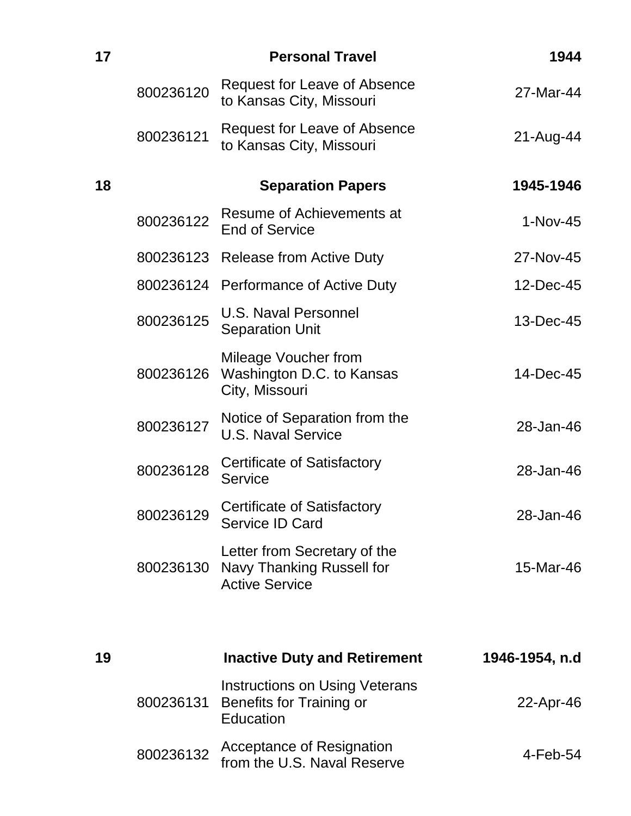| 17 |           | <b>Personal Travel</b>                                                                | 1944           |
|----|-----------|---------------------------------------------------------------------------------------|----------------|
|    | 800236120 | <b>Request for Leave of Absence</b><br>to Kansas City, Missouri                       | 27-Mar-44      |
|    | 800236121 | <b>Request for Leave of Absence</b><br>to Kansas City, Missouri                       | 21-Aug-44      |
| 18 |           | <b>Separation Papers</b>                                                              | 1945-1946      |
|    | 800236122 | Resume of Achievements at<br><b>End of Service</b>                                    | 1-Nov-45       |
|    |           | 800236123 Release from Active Duty                                                    | 27-Nov-45      |
|    |           | 800236124 Performance of Active Duty                                                  | 12-Dec-45      |
|    | 800236125 | <b>U.S. Naval Personnel</b><br><b>Separation Unit</b>                                 | 13-Dec-45      |
|    | 800236126 | Mileage Voucher from<br>Washington D.C. to Kansas<br>City, Missouri                   | 14-Dec-45      |
|    | 800236127 | Notice of Separation from the<br><b>U.S. Naval Service</b>                            | 28-Jan-46      |
|    | 800236128 | Certificate of Satisfactory<br><b>Service</b>                                         | 28-Jan-46      |
|    | 800236129 | Certificate of Satisfactory<br>Service ID Card                                        | 28-Jan-46      |
|    | 800236130 | Letter from Secretary of the<br>Navy Thanking Russell for<br><b>Active Service</b>    | 15-Mar-46      |
| 19 |           | <b>Inactive Duty and Retirement</b>                                                   | 1946-1954, n.d |
|    | 800236131 | <b>Instructions on Using Veterans</b><br><b>Benefits for Training or</b><br>Education | 22-Apr-46      |
|    | 800236132 | <b>Acceptance of Resignation</b><br>from the U.S. Naval Reserve                       | 4-Feb-54       |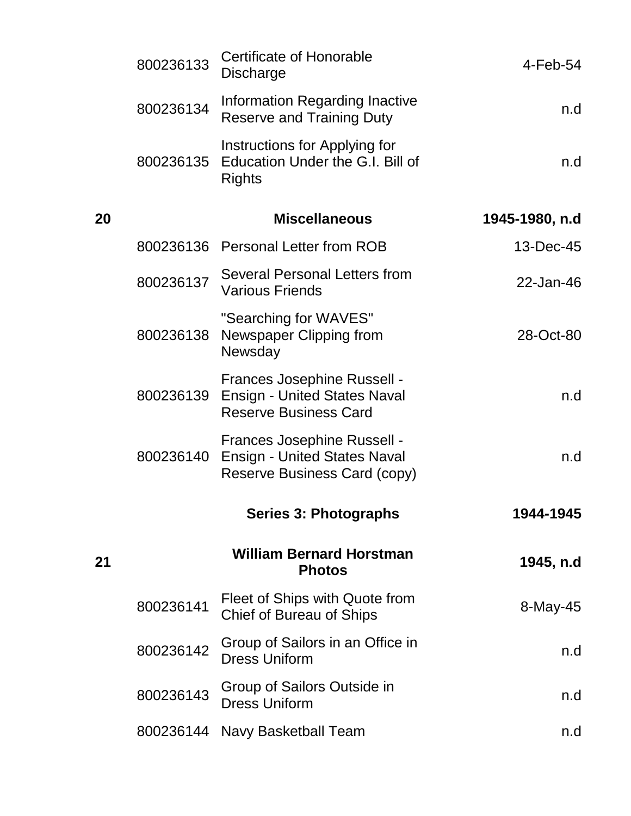|    | 800236133 | <b>Certificate of Honorable</b><br>Discharge                                                              | $4$ -Feb-54    |
|----|-----------|-----------------------------------------------------------------------------------------------------------|----------------|
|    | 800236134 | Information Regarding Inactive<br><b>Reserve and Training Duty</b>                                        | n.d            |
|    | 800236135 | Instructions for Applying for<br>Education Under the G.I. Bill of<br><b>Rights</b>                        | n.d            |
| 20 |           | <b>Miscellaneous</b>                                                                                      | 1945-1980, n.d |
|    |           | 800236136 Personal Letter from ROB                                                                        | 13-Dec-45      |
|    | 800236137 | Several Personal Letters from<br><b>Various Friends</b>                                                   | 22-Jan-46      |
|    | 800236138 | "Searching for WAVES"<br>Newspaper Clipping from<br>Newsday                                               | 28-Oct-80      |
|    | 800236139 | <b>Frances Josephine Russell -</b><br><b>Ensign - United States Naval</b><br><b>Reserve Business Card</b> | n.d            |
|    | 800236140 | Frances Josephine Russell -<br><b>Ensign - United States Naval</b><br>Reserve Business Card (copy)        | n.d            |
|    |           | <b>Series 3: Photographs</b>                                                                              | 1944-1945      |
| 21 |           | <b>William Bernard Horstman</b><br><b>Photos</b>                                                          | 1945, n.d      |
|    | 800236141 | Fleet of Ships with Quote from<br>Chief of Bureau of Ships                                                | 8-May-45       |
|    | 800236142 | Group of Sailors in an Office in<br><b>Dress Uniform</b>                                                  | n.d            |
|    | 800236143 | Group of Sailors Outside in<br><b>Dress Uniform</b>                                                       | n.d            |
|    |           | 800236144 Navy Basketball Team                                                                            | n.d            |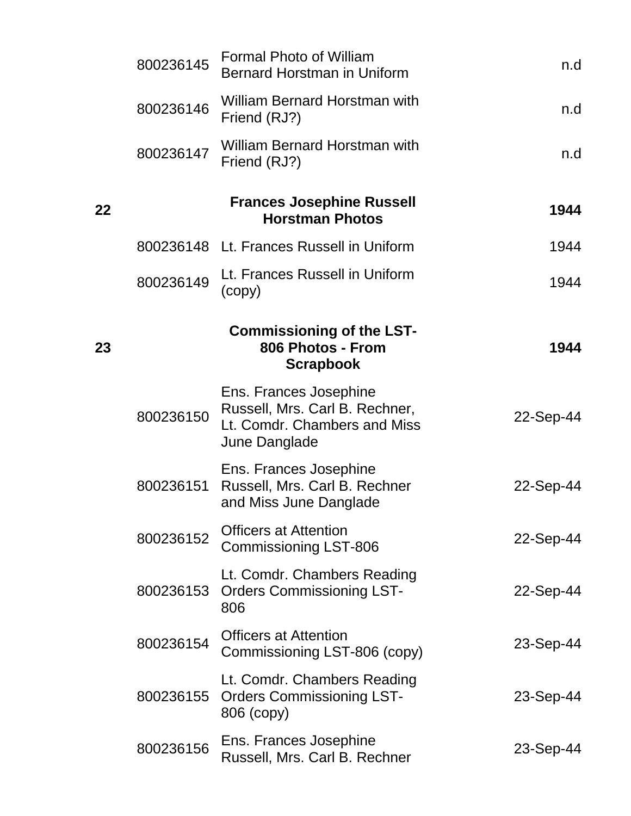|    | 800236145 | <b>Formal Photo of William</b><br><b>Bernard Horstman in Uniform</b>                                      | n.d       |
|----|-----------|-----------------------------------------------------------------------------------------------------------|-----------|
|    | 800236146 | William Bernard Horstman with<br>Friend (RJ?)                                                             | n.d       |
|    | 800236147 | <b>William Bernard Horstman with</b><br>Friend (RJ?)                                                      | n.d       |
| 22 |           | <b>Frances Josephine Russell</b><br><b>Horstman Photos</b>                                                | 1944      |
|    |           | 800236148 Lt. Frances Russell in Uniform                                                                  | 1944      |
|    | 800236149 | Lt. Frances Russell in Uniform<br>(copy)                                                                  | 1944      |
| 23 |           | <b>Commissioning of the LST-</b><br>806 Photos - From<br><b>Scrapbook</b>                                 | 1944      |
|    | 800236150 | Ens. Frances Josephine<br>Russell, Mrs. Carl B. Rechner,<br>Lt. Comdr. Chambers and Miss<br>June Danglade | 22-Sep-44 |
|    | 800236151 | Ens. Frances Josephine<br>Russell, Mrs. Carl B. Rechner<br>and Miss June Danglade                         | 22-Sep-44 |
|    | 800236152 | <b>Officers at Attention</b><br><b>Commissioning LST-806</b>                                              | 22-Sep-44 |
|    | 800236153 | Lt. Comdr. Chambers Reading<br><b>Orders Commissioning LST-</b><br>806                                    | 22-Sep-44 |
|    | 800236154 | <b>Officers at Attention</b><br>Commissioning LST-806 (copy)                                              | 23-Sep-44 |
|    | 800236155 | Lt. Comdr. Chambers Reading<br><b>Orders Commissioning LST-</b><br>806 (copy)                             | 23-Sep-44 |
|    | 800236156 | Ens. Frances Josephine<br>Russell, Mrs. Carl B. Rechner                                                   | 23-Sep-44 |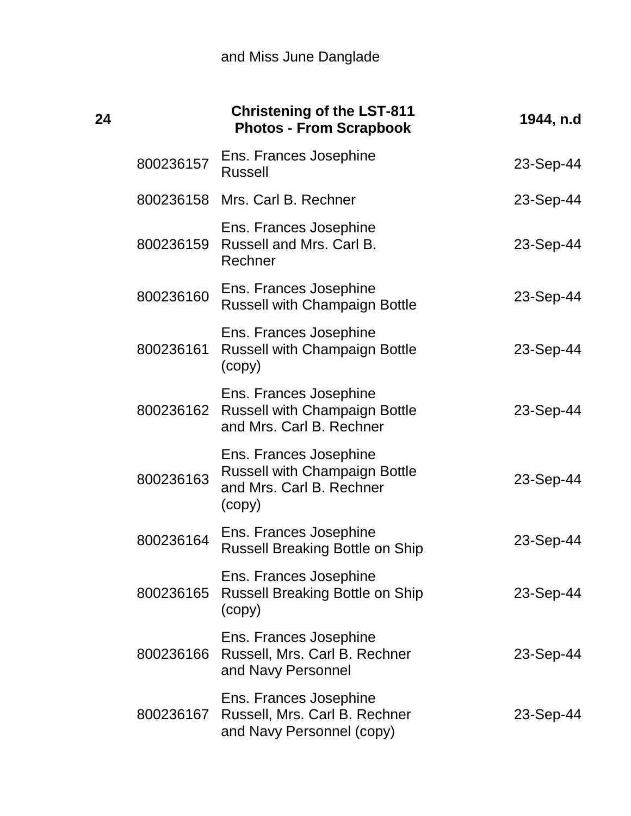| 24 |           | <b>Christening of the LST-811</b><br><b>Photos - From Scrapbook</b>                                  | 1944, n.d |
|----|-----------|------------------------------------------------------------------------------------------------------|-----------|
|    | 800236157 | Ens. Frances Josephine<br><b>Russell</b>                                                             | 23-Sep-44 |
|    |           | 800236158 Mrs. Carl B. Rechner                                                                       | 23-Sep-44 |
|    | 800236159 | Ens. Frances Josephine<br>Russell and Mrs. Carl B.<br>Rechner                                        | 23-Sep-44 |
|    | 800236160 | Ens. Frances Josephine<br><b>Russell with Champaign Bottle</b>                                       | 23-Sep-44 |
|    | 800236161 | Ens. Frances Josephine<br><b>Russell with Champaign Bottle</b><br>(copy)                             | 23-Sep-44 |
|    | 800236162 | Ens. Frances Josephine<br><b>Russell with Champaign Bottle</b><br>and Mrs. Carl B. Rechner           | 23-Sep-44 |
|    | 800236163 | Ens. Frances Josephine<br><b>Russell with Champaign Bottle</b><br>and Mrs. Carl B. Rechner<br>(copy) | 23-Sep-44 |
|    | 800236164 | Ens. Frances Josephine<br><b>Russell Breaking Bottle on Ship</b>                                     | 23-Sep-44 |
|    | 800236165 | Ens. Frances Josephine<br><b>Russell Breaking Bottle on Ship</b><br>(copy)                           | 23-Sep-44 |
|    | 800236166 | Ens. Frances Josephine<br>Russell, Mrs. Carl B. Rechner<br>and Navy Personnel                        | 23-Sep-44 |
|    |           | Ens. Frances Josephine<br>800236167 Russell, Mrs. Carl B. Rechner<br>and Navy Personnel (copy)       | 23-Sep-44 |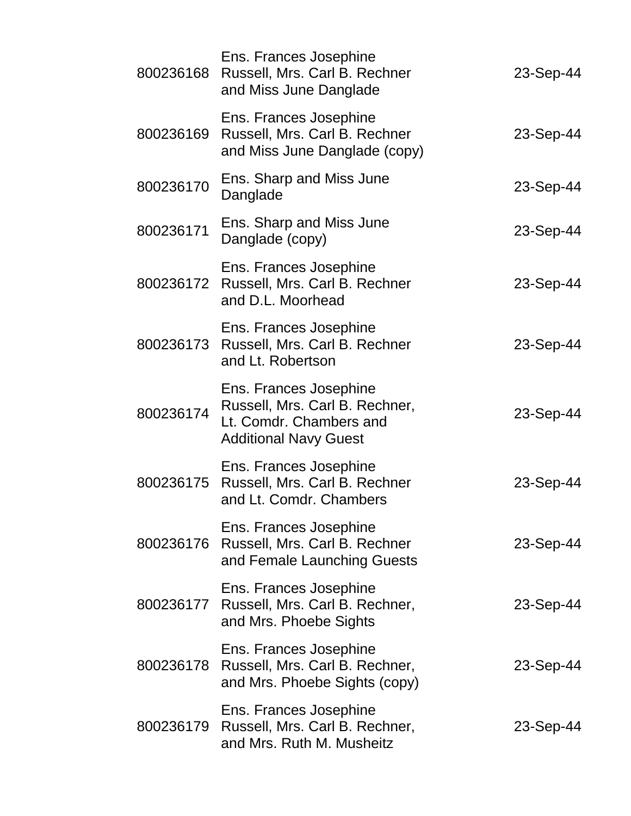| 800236168 | Ens. Frances Josephine<br>Russell, Mrs. Carl B. Rechner<br>and Miss June Danglade                                   | 23-Sep-44 |
|-----------|---------------------------------------------------------------------------------------------------------------------|-----------|
| 800236169 | Ens. Frances Josephine<br>Russell, Mrs. Carl B. Rechner<br>and Miss June Danglade (copy)                            | 23-Sep-44 |
| 800236170 | Ens. Sharp and Miss June<br>Danglade                                                                                | 23-Sep-44 |
| 800236171 | Ens. Sharp and Miss June<br>Danglade (copy)                                                                         | 23-Sep-44 |
| 800236172 | Ens. Frances Josephine<br>Russell, Mrs. Carl B. Rechner<br>and D.L. Moorhead                                        | 23-Sep-44 |
| 800236173 | Ens. Frances Josephine<br>Russell, Mrs. Carl B. Rechner<br>and Lt. Robertson                                        | 23-Sep-44 |
| 800236174 | Ens. Frances Josephine<br>Russell, Mrs. Carl B. Rechner,<br>Lt. Comdr. Chambers and<br><b>Additional Navy Guest</b> | 23-Sep-44 |
| 800236175 | Ens. Frances Josephine<br>Russell, Mrs. Carl B. Rechner<br>and Lt. Comdr. Chambers                                  | 23-Sep-44 |
| 800236176 | Ens. Frances Josephine<br>Russell, Mrs. Carl B. Rechner<br>and Female Launching Guests                              | 23-Sep-44 |
|           | Ens. Frances Josephine<br>800236177 Russell, Mrs. Carl B. Rechner,<br>and Mrs. Phoebe Sights                        | 23-Sep-44 |
| 800236178 | Ens. Frances Josephine<br>Russell, Mrs. Carl B. Rechner,<br>and Mrs. Phoebe Sights (copy)                           | 23-Sep-44 |
| 800236179 | Ens. Frances Josephine<br>Russell, Mrs. Carl B. Rechner,<br>and Mrs. Ruth M. Musheitz                               | 23-Sep-44 |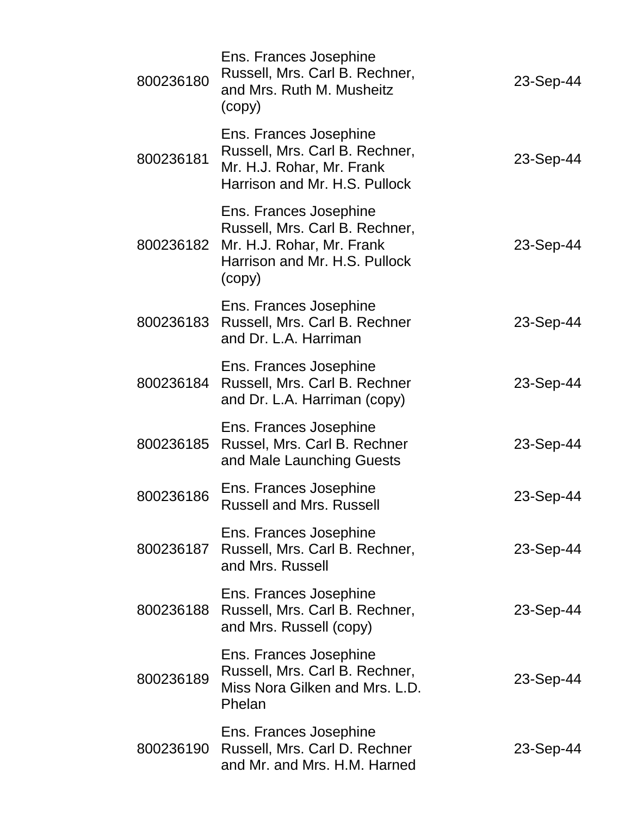| 800236180 | Ens. Frances Josephine<br>Russell, Mrs. Carl B. Rechner,<br>and Mrs. Ruth M. Musheitz<br>(copy)                                  | 23-Sep-44 |
|-----------|----------------------------------------------------------------------------------------------------------------------------------|-----------|
| 800236181 | Ens. Frances Josephine<br>Russell, Mrs. Carl B. Rechner,<br>Mr. H.J. Rohar, Mr. Frank<br>Harrison and Mr. H.S. Pullock           | 23-Sep-44 |
| 800236182 | Ens. Frances Josephine<br>Russell, Mrs. Carl B. Rechner,<br>Mr. H.J. Rohar, Mr. Frank<br>Harrison and Mr. H.S. Pullock<br>(copy) | 23-Sep-44 |
| 800236183 | Ens. Frances Josephine<br>Russell, Mrs. Carl B. Rechner<br>and Dr. L.A. Harriman                                                 | 23-Sep-44 |
| 800236184 | Ens. Frances Josephine<br>Russell, Mrs. Carl B. Rechner<br>and Dr. L.A. Harriman (copy)                                          | 23-Sep-44 |
| 800236185 | Ens. Frances Josephine<br>Russel, Mrs. Carl B. Rechner<br>and Male Launching Guests                                              | 23-Sep-44 |
| 800236186 | Ens. Frances Josephine<br><b>Russell and Mrs. Russell</b>                                                                        | 23-Sep-44 |
| 800236187 | Ens. Frances Josephine<br>Russell, Mrs. Carl B. Rechner,<br>and Mrs. Russell                                                     | 23-Sep-44 |
| 800236188 | Ens. Frances Josephine<br>Russell, Mrs. Carl B. Rechner,<br>and Mrs. Russell (copy)                                              | 23-Sep-44 |
| 800236189 | Ens. Frances Josephine<br>Russell, Mrs. Carl B. Rechner,<br>Miss Nora Gilken and Mrs. L.D.<br>Phelan                             | 23-Sep-44 |
| 800236190 | Ens. Frances Josephine<br>Russell, Mrs. Carl D. Rechner<br>and Mr. and Mrs. H.M. Harned                                          | 23-Sep-44 |